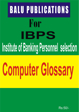# BALU PUBLICATIONS For IBPS Institute of Banking Personnel selection

# **Computer Glossary**

Rs:50/-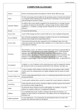# **COMPUTER GLOSSARY**

| Abacus                     | Earliest calculating machine developed by Chinese about 3000 years ago.                                                                                                                                                                                                                                                                                                                                                                                                                                                                                    |
|----------------------------|------------------------------------------------------------------------------------------------------------------------------------------------------------------------------------------------------------------------------------------------------------------------------------------------------------------------------------------------------------------------------------------------------------------------------------------------------------------------------------------------------------------------------------------------------------|
| Abort                      | To halt a processing activity (either by the operating system or human intervention)<br>in a computer before obtaining final result because continuing it as such would not<br>yield meaningf ul/conclusive output.                                                                                                                                                                                                                                                                                                                                        |
| <b>Absolute Address</b>    | An address that is pern-anently assigned by the manufacturer to a storage location<br>or a pattern of characters that identifies a unique storage location without further<br>modificatio 1. To identity a storage location without the use of any intermediate<br>reference.                                                                                                                                                                                                                                                                              |
| Access                     | To locate the desired data.                                                                                                                                                                                                                                                                                                                                                                                                                                                                                                                                |
| Access Arm                 | A part of disk storage unit that is used to hold one or more reading/writing heads.                                                                                                                                                                                                                                                                                                                                                                                                                                                                        |
| <b>Access Method</b>       | Any of the data management techniques available to the user for transfering data<br>between main storage and an input/output device.                                                                                                                                                                                                                                                                                                                                                                                                                       |
| <b>Access Time</b>         | Time interval between the data requested by ALU (arithmatic logic unit in the<br>central processing Unit) and data made available to it. It is often used as a reference<br>to the speed of a memory.                                                                                                                                                                                                                                                                                                                                                      |
| Accuracy                   | The deviation, or error, by which an actual output varies from an expected ideal or<br>absolute output. Each element in any system contributes errors, which should be<br>separately specified if they significantly contribute to the degradation of total<br>system accuracy. In analog- to-digital converter, accuracy is tied to resolution. For<br>iastance a 13 bit A/D converter can resolve to one part in 213 or 8192, so best<br>accuracy as a percentage of full scale range is theoretkally 8192, or about 00125 %.<br>ISO 9001:2008 INSTITUTE |
| Accumulator                | A register, or a set of registers in the central processor used for temporarily storing<br>the numerical result on an operation performed by the arithmatic and logic unit.                                                                                                                                                                                                                                                                                                                                                                                |
| <b>Acoustic Coupler</b>    | A type of modem which enables to feed data from microcomputer (after suitable<br>convers ion) to be communicated over regular telephone lines by means of sound<br>signals.                                                                                                                                                                                                                                                                                                                                                                                |
| <b>Acoustic Delay Line</b> | A device using regenerated shock waves in a conducting material (like mercury) for<br>storing information.                                                                                                                                                                                                                                                                                                                                                                                                                                                 |
| Activity                   | A term used to indicate that a record in a master file is used, altered or referred to.                                                                                                                                                                                                                                                                                                                                                                                                                                                                    |
| <b>Actual Key</b>          | A data item that may be used as a hardware address and that expresses the location<br>of a record on a mass storage device.                                                                                                                                                                                                                                                                                                                                                                                                                                |
| Adder                      | An electronic device (logical circuit) to add together two numbers. It can also<br>subtract two numbers using two's complement arithmatic.                                                                                                                                                                                                                                                                                                                                                                                                                 |
| Address                    | It is an identification mark, usually to reference the location (in memory, or a<br>register) an item of data or an instruction. This address serves for storing data and<br>fetching it out.                                                                                                                                                                                                                                                                                                                                                              |
| <b>Addressing Mode</b>     | It is the method use .1 in an instruction for specifying the data to be used or the<br>location into which the result is to be placed.                                                                                                                                                                                                                                                                                                                                                                                                                     |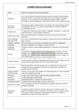## **COMPUTER GLOSSARY**

| Algol                                  | Algorithm language-(Programming language)                                                                                                                                                                                                                                                                                                    |
|----------------------------------------|----------------------------------------------------------------------------------------------------------------------------------------------------------------------------------------------------------------------------------------------------------------------------------------------------------------------------------------------|
| Algorithm                              | It is a sort of scheme that narrates the point to point evolution of the technique to<br>deal with solution of a particular task such as flow chart, dealing with program<br>procedure. A set of simple and clearly defined instructions (steps), without<br>involving any personal judgement, which enable solution of any complex problem. |
| Allocation<br>Mechanism                | The means by which a shared resource is assigned to the various elements which<br>are potentially able to use it (a step by step procedure for solving a problem or<br>accomplishing an end).                                                                                                                                                |
| Alphanumeric                           | A repertoire of characters which contains 'Aiphabatic' characters, i.e. letters and<br>special characters, as well as figures (numbers).                                                                                                                                                                                                     |
| Alphanumeric Data                      | Data represented by letters and digits, (with special characters and the space<br>character).                                                                                                                                                                                                                                                |
| ALU (Arithmatic<br>and Logic Unit)     | It is a sort of central processor that organises, controls and carries out arithmatic and<br>logic 1 process.                                                                                                                                                                                                                                |
| <b>Ambient Conditions</b>              | The environment of an enclosure surrounding a given device or equipment.                                                                                                                                                                                                                                                                     |
| Amplitude                              | The size or magnitude of a voltage or current waveform.                                                                                                                                                                                                                                                                                      |
| Amplitude<br>Modulation                | Variation of carrier's signal stiength (amplitude), as a function of an information<br>signal.                                                                                                                                                                                                                                               |
| Analog                                 | An expression of values which can vary continuously, e.g. resistance, current,<br>voltage etc. or a reference to the representation of data by continuously variable<br>quantities. As contrast to analog, digital means that signal can have 2 stages. viz,<br>zero or full value.                                                          |
| <b>Analog Computer</b>                 | It uses electronic circuitary to represent physical processes, with change in electric<br>current representing the behaviour of the system being studied.                                                                                                                                                                                    |
| Analog Data                            | Data represented by a physical quantity that is considered to be continuously<br>variable and whose magnitude is made directly proportional to the data or to a<br>suitable function of the data.                                                                                                                                            |
| Analog to Digital<br>$(A/D)$ Converter | A device or sub-system, that changes real world analog data to a form compatible<br>with binary (digital) processing.                                                                                                                                                                                                                        |
| <b>AND</b> Gate                        | A logic circuit whose output is high only when all inputs are high.                                                                                                                                                                                                                                                                          |
| AndrOid                                | A robot appearing as human being.                                                                                                                                                                                                                                                                                                            |
| Annotation                             | Explanation added to a program to assist the reader.                                                                                                                                                                                                                                                                                         |
| <b>Annotation Symbol</b>               | A symbol used to add messages or notes to a flow chart.                                                                                                                                                                                                                                                                                      |
| <b>Application Package</b>             | A set of programs directed at some application in general, driven by a series of<br>computer commands.                                                                                                                                                                                                                                       |
| Application<br>Program                 | A computer program written for or by the end user of a computer system. An<br>applicat ion program does not contribute to the effective use of computer system,<br>but it makes a direct contribution to performing a particular role within an<br>organisation and meets the needs of the users.                                            |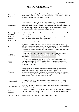## **COMPUTER GLOSSARY**

Π

| Application<br>Software        | It consists of programs for performing specific processing applications. It is that<br>program which tells the computer how to perform specific task, such as preparation<br>of company pay roll or inventory management.                                                                                                                                                                         |
|--------------------------------|---------------------------------------------------------------------------------------------------------------------------------------------------------------------------------------------------------------------------------------------------------------------------------------------------------------------------------------------------------------------------------------------------|
| ArchitectQre                   | The organisation and interconnection of computer system components and<br>interconnection of various hardware to include details like input/output operation<br>and control, memory organis ation and available addressing modes, instruction set<br>and user interface. The structure functional and performance characteristics of a<br>system, specified in an implementation independent way. |
| Argument (Actual<br>Parameter) | A value or address that is passed to a subroutine, or function, or procedure'at the<br>time it is called.                                                                                                                                                                                                                                                                                         |
| Arithmatlc<br>Instruction      | A machine instruction specifying an arithmatic operation and the operand(s) on<br>which the arithmatic operation is to be performed.                                                                                                                                                                                                                                                              |
| Aritbmatic Operator            | A symbol representing a simple arithmiatic operation.                                                                                                                                                                                                                                                                                                                                             |
| Array                          | Arrangement of data items in a particular order or pattern. A form in which a<br>collection of data items can be stored in computer memory. One-dimensional array,<br>(called vector) consists of a single sequence of elements. Two-dimensional array<br>(called matrix) consists of a fixed number of rows and a fixed number of columns.                                                       |
| Artificial<br>Intelligence     | Field of study that enables computers to think like human beings, and using<br>computers to solve problem that appear to require human intelligence or<br>imagination.                                                                                                                                                                                                                            |
| <b>ASCII</b>                   | An eight level (7 bits+1 parity bit) code from American Standard Code for<br>Information Interchange. In it, the letters, numbers and symbols are coded as 7<br>binary characters, 8th bit being used for parity check. $2 = 128$ characters can be<br>represented by this code.                                                                                                                  |
| Assembler                      | It is a program for automatically translating assembly language (a low level<br>programming language in which instructions generally have one to one<br>correspondence with machine code) into machine code (the binary instructions<br>which are directly understood by the computer). Input to assembler is called source<br>program and the output is called the object program.               |
| <b>Assembly Code</b>           | It is the code used for writing programs in assembly language. It uses mnemonic<br>symbols like ADD, SUB etc. to specify operations or addition and subtraction.                                                                                                                                                                                                                                  |
| <b>Assembly Language</b>       | A means of communicating with a computer at a lower level (between high level<br>and machine language).                                                                                                                                                                                                                                                                                           |
| Assignment<br>Statement        | A fundamental statement in most programming languages. It assigns a new value to<br>a variable. It causes a new value to be placed at the appropriate storage location<br>where the variable is located in memory.                                                                                                                                                                                |
| <b>Associative Storage</b>     | Storage in which the cells can be directly addressed by content.                                                                                                                                                                                                                                                                                                                                  |